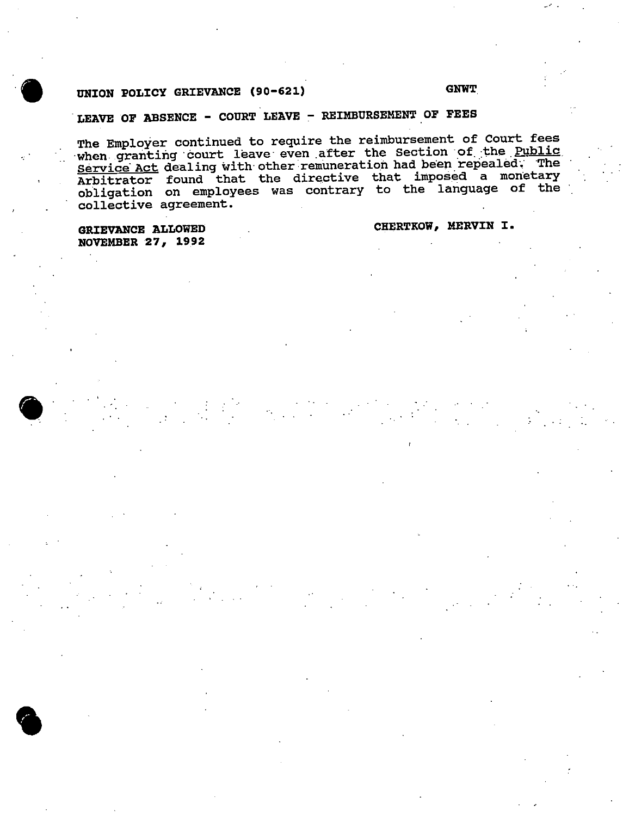## UNION POLICY GRIEVANCE (90-621) GNWT

# LEAVE OF ABSENCE - COURT LEAVE - REIMBURSEMENT OF FEES

The Employer continued to require the reimbursement of Court fees when granting court leave even after the Section of the Public Service Act dealing with other remuneration had been repealed; The Arbitrator found that the directive that imposed <sup>a</sup> monetary obligation on employees was contrary to the language of the collective agreement.

NOVEMBER 27, 1992

GRIEVANCE ALLOWED CHERTKOW, MERVIN I.



 $\bullet$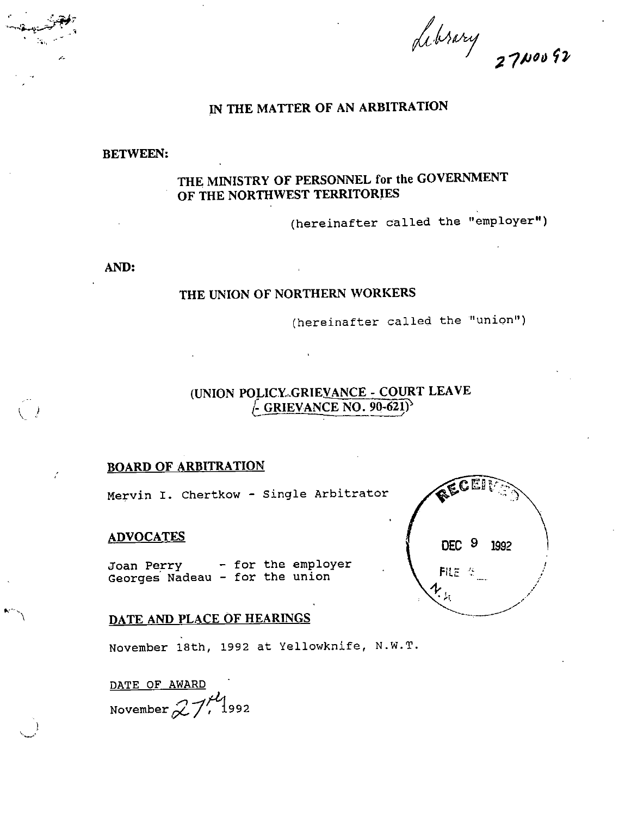Library 2700092

## IN THE MATTER OF AN ARBITRATION

BETWEEN:

## THE MINISTRY OF PERSONNEL for the GOVERNMENT OF THE NORTHWEST TERRITORIES

(hereinafter called the "employer")

AND:

## THE UNION OF NORTHERN WORKERS

(hereinafter called the "union")

## (UNION POLICY-GRIEVANCE - COURT LEAVE  $\sim$  GRIEVANCE NO. 90-621) $\sim$

## BOARD OF ARBITRATION

Mervin I. Chertkow - Single Arbitrator

### ADVOCATES

Joan Perry - for the employer Georges' Nadeau - for the union



## DATE AND PLACE OF HEARINGS

November 18th, 1992 at Yellowknife, N.W.T.

DATE OF AWARD November  $27$ , 1992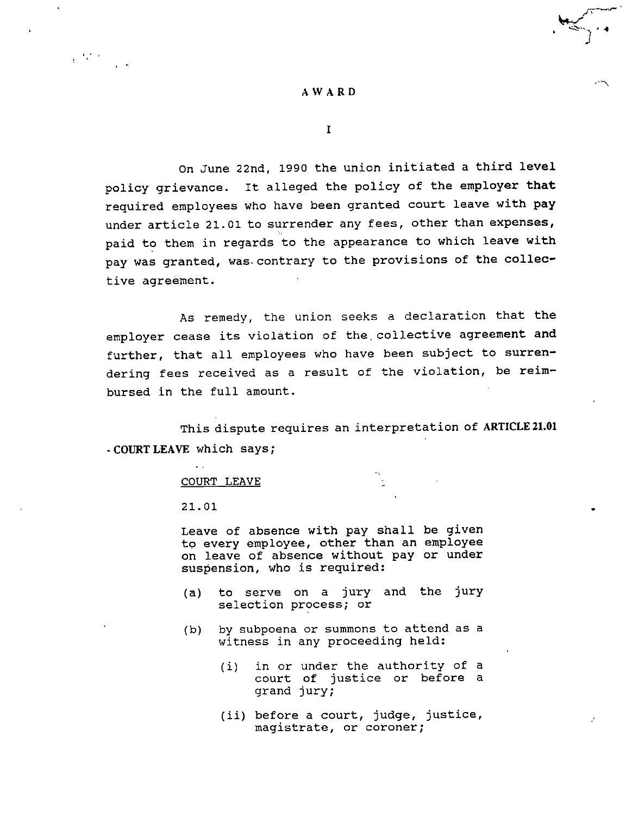On June 22nd, 1990 the union initiated <sup>a</sup> third level policy grievance. It alleged the policy of the employer that required employees who have been granted court leave with pay under article 21.01 to surrender any fees, other than expenses, paid to them in regards to the appearance to which leave with pay was granted, was-contrary to the provisions of the collec tive agreement.

As remedy, the union seeks a declaration that the employer cease its violation of the. collective agreement and further, that all employees who have been subject to surren dering fees received as a result of the violation, be reim bursed in the full amount.

This dispute requires an interpretation of ARTICLE 21.01 -COURTLEAVE which says;

#### COURT LEAVE

21.01

 $\mathcal{L}^{\text{max}}(\mathcal{F})$  .

Leave of absence with pay shall be given to every employee, other than an employee on leave of absence without pay or under suspension, who is required:

- (a) to serve on a jury and the jury selection process; or
- (b) by subpoena or summons to attend as <sup>a</sup> witness in any proceeding held:
	- (i) in or under the authority of <sup>a</sup> court of justice or before <sup>a</sup> grand jury;
	- (ii) before <sup>a</sup> court, judge, justice, magistrate, or coroner;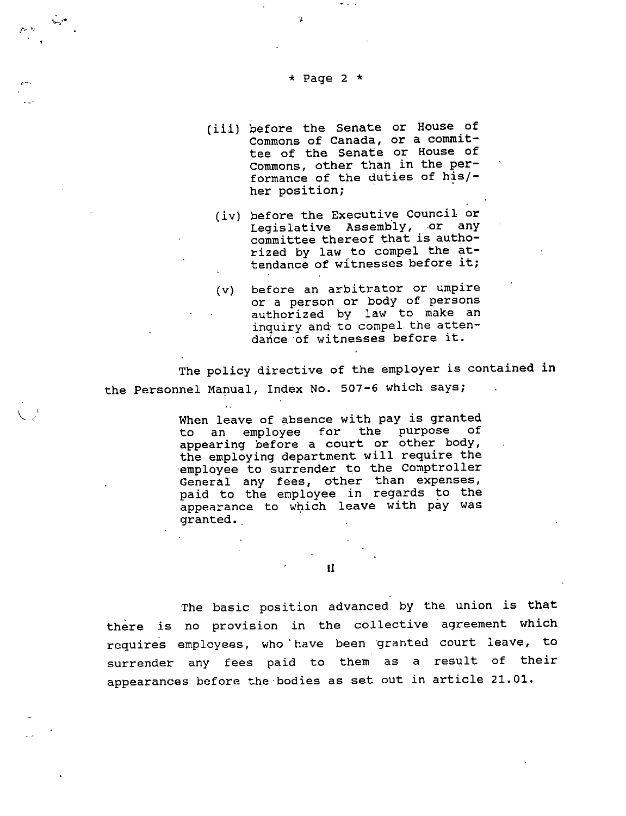#### \* Page 2  $*$

A-

(iii) before the Senate or House of Commons of Canada, or a commit tee of the Senate or House of Commons, other than in the per formance of the duties of his/ her position;

 $\mathbf{r}=\mathbf{r}+\mathbf{q}$ 

- (iv) before the Executive Council or Legislative Assembly, or any committee thereof that is autho rized by law to compel the at tendance of witnesses before it;
- (v) before an arbitrator or umpire or a person or body of persons authorized by law to make an inquiry and to compel the artendance of witnesses before it.

The policy directive of the employer is contained in the Personnel Manual, Index No. 507-6 which says;

> When leave of absence with pay is granted to an employee for the purpose of appearing before a court or other body, the employing department will require the •employee to surrender to the Comptroller General any fees, other than expenses, paid to the employee in regards to the appearance to which leave with pay was granted..

> > II

The basic position advanced by the union is that there is no provision in the collective agreement which requires employees, who "have been granted court leave, to surrender any fees paid to them as a result of their appearances before the bodies as set out in article 21.01.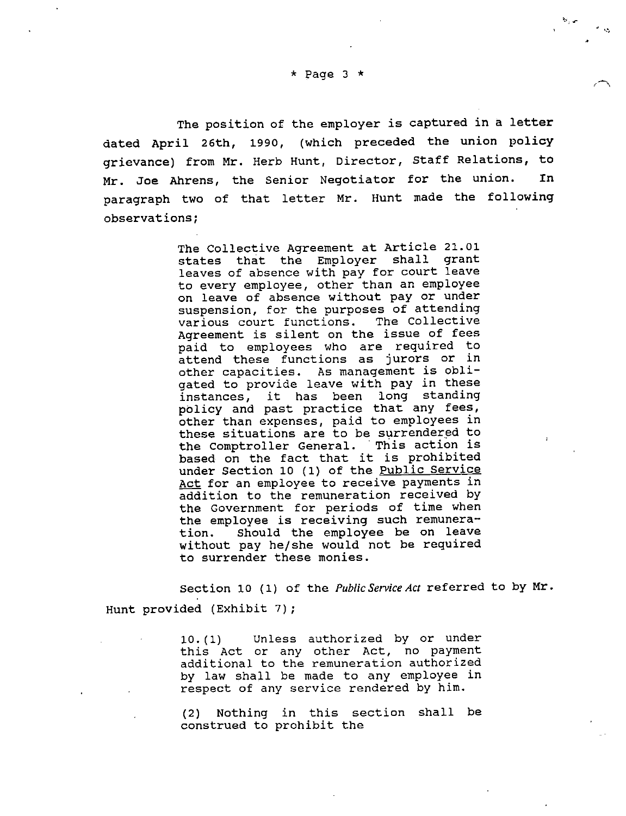The position of the employer is captured in a letter dated April 26th, 1990, (which preceded the union policy grievance) from Mr. Herb Hunt, Director, Staff Relations, to Mr. Joe Ahrens, the Senior Negotiator for the union. In paragraph two of that letter Mr. Hunt made the following observations;

> The Collective Agreement at Article 21.01 states that the Employer shall grant leaves of absence with pay for court leave to every employee, other than an employee on leave of absence without pay or under suspension, for the purposes of attending<br>various court functions. The Collective various court functions. Agreement is silent on the issue of fees paid to employees who are required to attend these functions as jurors or in other capacities. As management is obli gated to provide leave with pay in these instances, it has been long standing policy and past practice that any fees, other than expenses, paid to employees in these situations are to be surrendered to the Comptroller General. This action is based on the fact that it is prohibited under Section 10 (1) of the Public Service Act for an employee to receive payments in addition to the remuneration received by the Government for periods of time when the employee is receiving such remunera-<br>tion. Should the employee be on leave Should the employee be on leave without pay he/she would not be required to surrender these monies.

Section 10 (1) of the *Public Service Act* referred to by Mr. Hunt provided (Exhibit 7);

> 10.(1) Unless authorized by or under this Act or any other Act, no payment additional to the remuneration authorized by law shall be made to any employee in respect of any service rendered by him.

(2) Nothing in this section shall be construed to prohibit the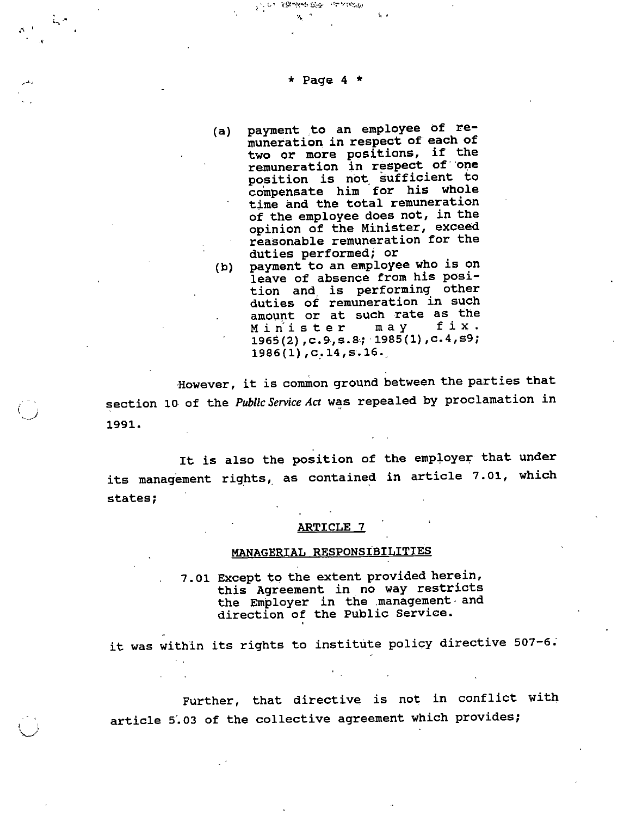#### \* Page 4 \*

**The Chase the Survey**  $\mathbf{z}$ 

 $\wedge$   $\cdot$ 

- (a) payment to an employee of remuneration in respect of each of two or more positions, if the remuneration in respect of one position is not sufficient to compensate him for his whole time and the total remuneration of the employee does not, in the opinion of the Minister, exceed reasonable remuneration for the duties performed; or
- (b) payment to an employee who is on leave of absence from his position and is performing other duties of remuneration in such amount or at such rate as the<br>Minister may fix. 1965(2),c.9,S.8; 1985(1),C.4,s9;  $1986(1)$ ,  $c.14$ ,  $s.16$ .

However, it is common ground between the parties that section 10 of the Public Service Act was repealed by proclamation in 1991.

It is also the position of the employer that under its management rights, as contained in article 7.01, which states;

#### ARTICLE<sub>17</sub>

## MANAGERIAL RESPONSIBILITIES

7.01 Except to the extent provided herein, this Agreement in no way restricts the Employer in the management • and direction of the Public Service.

it was within its rights to institute policy directive 507-6.

Further, that directive is not in conflict with article 5.03 of the collective agreement which provides;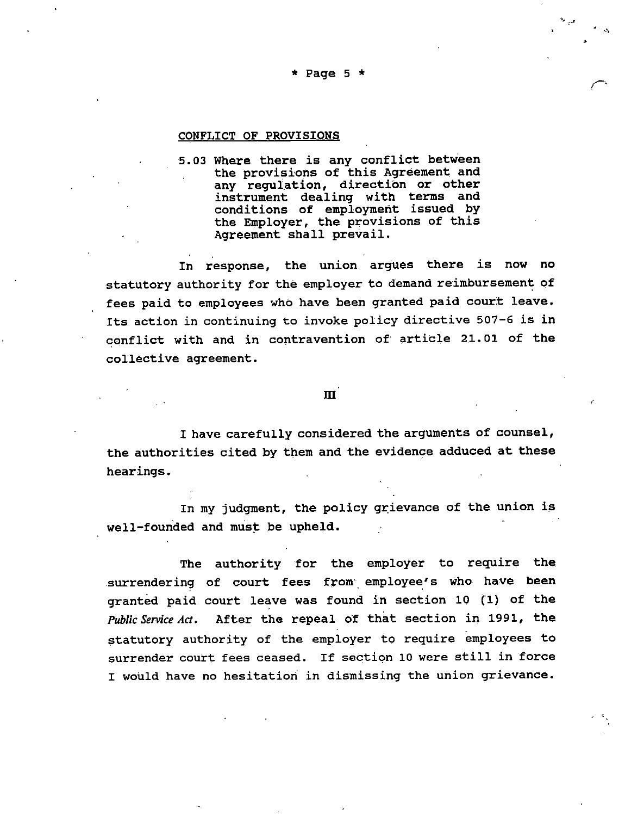#### \* Page 5  $\star$

#### CONFLICT OF PROVISIONS

5.03 Where there is any conflict between the provisions of this Agreement and any regulation, direction or other instrument dealing with terms and conditions of employment issued by the Employer, the provisions of this Agreement shall prevail.

In response, the union argues there is now no statutory authority for the employer to demand reimbursement of fees paid to employees who have been granted paid court leave. Its action in continuing to invoke policy directive 507-6 is in conflict with and in contravention of article 21.01 of the collective agreement.

#### m

I have carefully considered the arguments of counsel, the authorities cited by them and the evidence adduced at these hearings.

In my judgment, the policy grievance of the union is well-founded and must be upheld.

The authority for the employer to require the surrendering of court fees from employee's who have been granted paid court leave was found in section 10 (1) of the Public Service Act. After the repeal of that section in 1991, the statutory authority of the employer to require employees to surrender court fees ceased. If section <sup>10</sup> were still in force <sup>I</sup> would have no hesitation in dismissing the union grievance.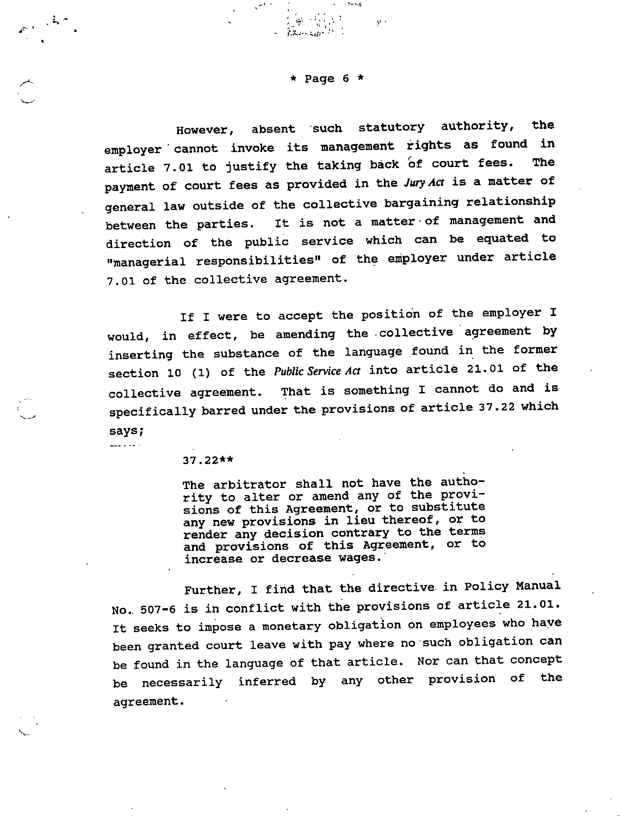$\star$  Page 6  $\star$ 

**Contract Contract Contract** 

 $-31.3$ 

 $\frac{1}{2}\sum_{i=1}^{n}\frac{1}{\left\langle \left\langle \frac{1}{\left\langle \frac{1}{\left\langle \frac{1}{\left\langle \frac{1}{\left\langle \frac{1}{\left\langle \frac{1}{\left\langle \frac{1}{\left\langle \frac{1}{\left\langle \frac{1}{\left\langle \frac{1}{\left\langle \frac{1}{\left\langle \frac{1}{\left\langle \frac{1}{\left\langle \frac{1}{\left\langle \frac{1}{\left\langle \frac{1}{\left\langle \frac{1}{\left\langle \frac{1}{\left\langle \frac{1}{\left\langle \frac{1}{\left\langle \frac{1}{\left\langle \frac{$ 

- Benedict

 $\mathcal{P}^{(k+1)}$ 

However, absent such statutory authority, the employer cannot invoke its management rights as found in article 7.01 to justify the taking back of court fees. payment of court fees as provided in the Jury Act is a matter of general law outside of the collective bargaining relationship between the parties. It is not a matter •of management and direction of the public service which can be equated to "managerial responsibilities" of the employer under article 7.01 of the collective agreement.

If I were to accept the position of the employer I would, in effect, be amending the collective agreement by inserting the substance of the language found in the former section 10 (1) of the Public Service Act into article 21.01 of the collective agreement. That is something I cannot do and is specifically barred under the provisions of article 37.22 which says;

37.22\*\*

الأنباء بالمسا

The arbitrator shall not have the autho-<br>rity to alter or amend any of the provisions of this Agreement, or to substitute any new provisions in lieu thereof, or to render any decision contrary to the terms and provisions of this Agreement, or to increase or decrease wages.

Further, I find that the directive in Policy Manual No., 507-6 is in conflict with the provisions of article 21.01. It seeks to impose a monetary obligation on employees who haye been granted court leave with pay where no such obligation can be found in the language of that article. Nor can that concept be necessarily inferred by any other provision of the agreement.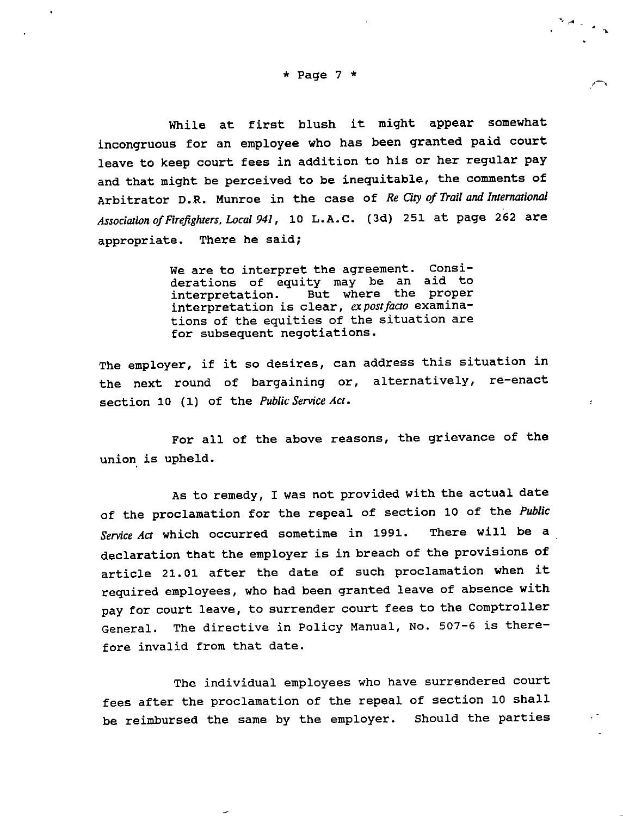While at first blush it might appear somewhat incongruous for an employee who has been granted paid court leave to keep court fees in addition to his or her regular pay and that might be perceived to be inequitable, the comments of Arbitrator D.R. Munroe in the case of Re City of Trail and International Association of Firefighters, Local 941, 10 L.A.C. (3d) 251 at page 262 are appropriate. There he said;

> We are to interpret the agreement. Considerations of equity may be an aid to<br>interpretation. But where the proper But where the proper interpretation is clear, expost facto examinations of the equities of the situation are for subsequent negotiations.

The employer, if it so desires, can address this situation in the next round of bargaining or, alternatively, re-enact section 10 (1) of the Public Service Act.

For all of the above reasons, the grievance of the union is upheld.

As to remedy, I was not provided with the actual date of the proclamation for the repeal of section 10 of the Public Service Act which occurred sometime in 1991. There will be a declaration that the employer is in breach of the provisions of article 21.01 after the date of such proclamation when it required employees, who had been granted leave of absence with pay for court leave, to surrender court fees to the Comptroller General. The directive in Policy Manual, No. 507-6 is there fore invalid from that date.

The individual employees who have surrendered court fees after the proclamation of the repeal of section 10 shall be reimbursed the same by the employer. Should the parties